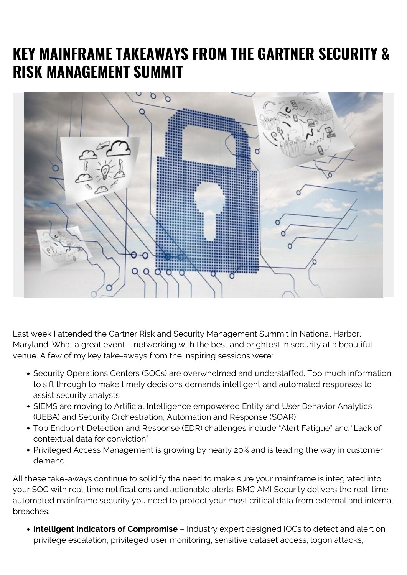## **KEY MAINFRAME TAKEAWAYS FROM THE GARTNER SECURITY & RISK MANAGEMENT SUMMIT**



Last week I attended the Gartner Risk and Security Management Summit in National Harbor, Maryland. What a great event – networking with the best and brightest in security at a beautiful venue. A few of my key take-aways from the inspiring sessions were:

- Security Operations Centers (SOCs) are overwhelmed and understaffed. Too much information to sift through to make timely decisions demands intelligent and automated responses to assist security analysts
- SIEMS are moving to Artificial Intelligence empowered Entity and User Behavior Analytics (UEBA) and Security Orchestration, Automation and Response (SOAR)
- Top Endpoint Detection and Response (EDR) challenges include "Alert Fatigue" and "Lack of contextual data for conviction"
- Privileged Access Management is growing by nearly 20% and is leading the way in customer demand.

All these take-aways continue to solidify the need to make sure your mainframe is integrated into your SOC with real-time notifications and actionable alerts. BMC AMI Security delivers the real-time automated mainframe security you need to protect your most critical data from external and internal breaches.

**Intelligent Indicators of Compromise** – Industry expert designed IOCs to detect and alert on privilege escalation, privileged user monitoring, sensitive dataset access, logon attacks,